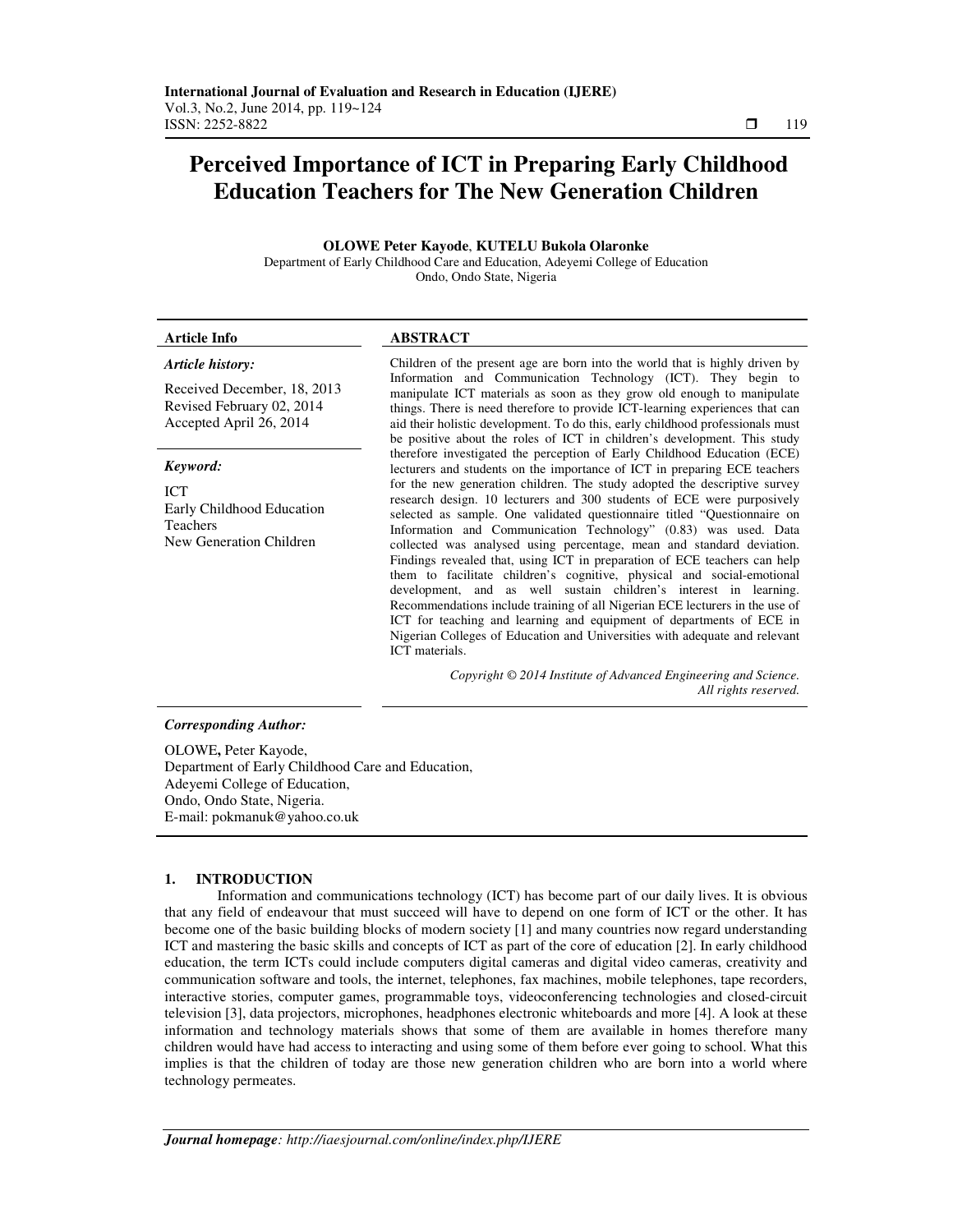# **Perceived Importance of ICT in Preparing Early Childhood Education Teachers for The New Generation Children**

**OLOWE Peter Kayode**, **KUTELU Bukola Olaronke**  Department of Early Childhood Care and Education, Adeyemi College of Education Ondo, Ondo State, Nigeria

| <b>Article Info</b>                                                                               | <b>ABSTRACT</b>                                                                                                                                                                                                                                                                                                                                                                                                                                                                                                                                                                                                                                                                                                                                                                                                                                                                                                                                                                                                                                                                                                                                                                                                                                                                                                                                                                                                                                                                                   |
|---------------------------------------------------------------------------------------------------|---------------------------------------------------------------------------------------------------------------------------------------------------------------------------------------------------------------------------------------------------------------------------------------------------------------------------------------------------------------------------------------------------------------------------------------------------------------------------------------------------------------------------------------------------------------------------------------------------------------------------------------------------------------------------------------------------------------------------------------------------------------------------------------------------------------------------------------------------------------------------------------------------------------------------------------------------------------------------------------------------------------------------------------------------------------------------------------------------------------------------------------------------------------------------------------------------------------------------------------------------------------------------------------------------------------------------------------------------------------------------------------------------------------------------------------------------------------------------------------------------|
| Article history:                                                                                  | Children of the present age are born into the world that is highly driven by<br>Information and Communication Technology (ICT). They begin to<br>manipulate ICT materials as soon as they grow old enough to manipulate<br>things. There is need therefore to provide ICT-learning experiences that can<br>aid their holistic development. To do this, early childhood professionals must<br>be positive about the roles of ICT in children's development. This study<br>therefore investigated the perception of Early Childhood Education (ECE)<br>lecturers and students on the importance of ICT in preparing ECE teachers<br>for the new generation children. The study adopted the descriptive survey<br>research design. 10 lecturers and 300 students of ECE were purposively<br>selected as sample. One validated questionnaire titled "Questionnaire on<br>Information and Communication Technology" (0.83) was used. Data<br>collected was analysed using percentage, mean and standard deviation.<br>Findings revealed that, using ICT in preparation of ECE teachers can help<br>them to facilitate children's cognitive, physical and social-emotional<br>development, and as well sustain children's interest in learning.<br>Recommendations include training of all Nigerian ECE lecturers in the use of<br>ICT for teaching and learning and equipment of departments of ECE in<br>Nigerian Colleges of Education and Universities with adequate and relevant<br>ICT materials. |
| Received December, 18, 2013<br>Revised February 02, 2014<br>Accepted April 26, 2014               |                                                                                                                                                                                                                                                                                                                                                                                                                                                                                                                                                                                                                                                                                                                                                                                                                                                                                                                                                                                                                                                                                                                                                                                                                                                                                                                                                                                                                                                                                                   |
| Keyword:                                                                                          |                                                                                                                                                                                                                                                                                                                                                                                                                                                                                                                                                                                                                                                                                                                                                                                                                                                                                                                                                                                                                                                                                                                                                                                                                                                                                                                                                                                                                                                                                                   |
| <b>ICT</b><br>Early Childhood Education<br><b>Teachers</b><br>New Generation Children             |                                                                                                                                                                                                                                                                                                                                                                                                                                                                                                                                                                                                                                                                                                                                                                                                                                                                                                                                                                                                                                                                                                                                                                                                                                                                                                                                                                                                                                                                                                   |
|                                                                                                   | Copyright © 2014 Institute of Advanced Engineering and Science.<br>All rights reserved.                                                                                                                                                                                                                                                                                                                                                                                                                                                                                                                                                                                                                                                                                                                                                                                                                                                                                                                                                                                                                                                                                                                                                                                                                                                                                                                                                                                                           |
| <b>Corresponding Author:</b><br>OLOWE, Peter Kayode,<br>$\sim$ $\sim$ $\sim$ $\sim$ $\sim$ $\sim$ | $\sim$ $\sim$ $\sim$                                                                                                                                                                                                                                                                                                                                                                                                                                                                                                                                                                                                                                                                                                                                                                                                                                                                                                                                                                                                                                                                                                                                                                                                                                                                                                                                                                                                                                                                              |

Department of Early Childhood Care and Education, Adeyemi College of Education, Ondo, Ondo State, Nigeria. E-mail: pokmanuk@yahoo.co.uk

## **1. INTRODUCTION**

Information and communications technology (ICT) has become part of our daily lives. It is obvious that any field of endeavour that must succeed will have to depend on one form of ICT or the other. It has become one of the basic building blocks of modern society [1] and many countries now regard understanding ICT and mastering the basic skills and concepts of ICT as part of the core of education [2]. In early childhood education, the term ICTs could include computers digital cameras and digital video cameras, creativity and communication software and tools, the internet, telephones, fax machines, mobile telephones, tape recorders, interactive stories, computer games, programmable toys, videoconferencing technologies and closed-circuit television [3], data projectors, microphones, headphones electronic whiteboards and more [4]. A look at these information and technology materials shows that some of them are available in homes therefore many children would have had access to interacting and using some of them before ever going to school. What this implies is that the children of today are those new generation children who are born into a world where technology permeates.

ֺ֝֬֜֡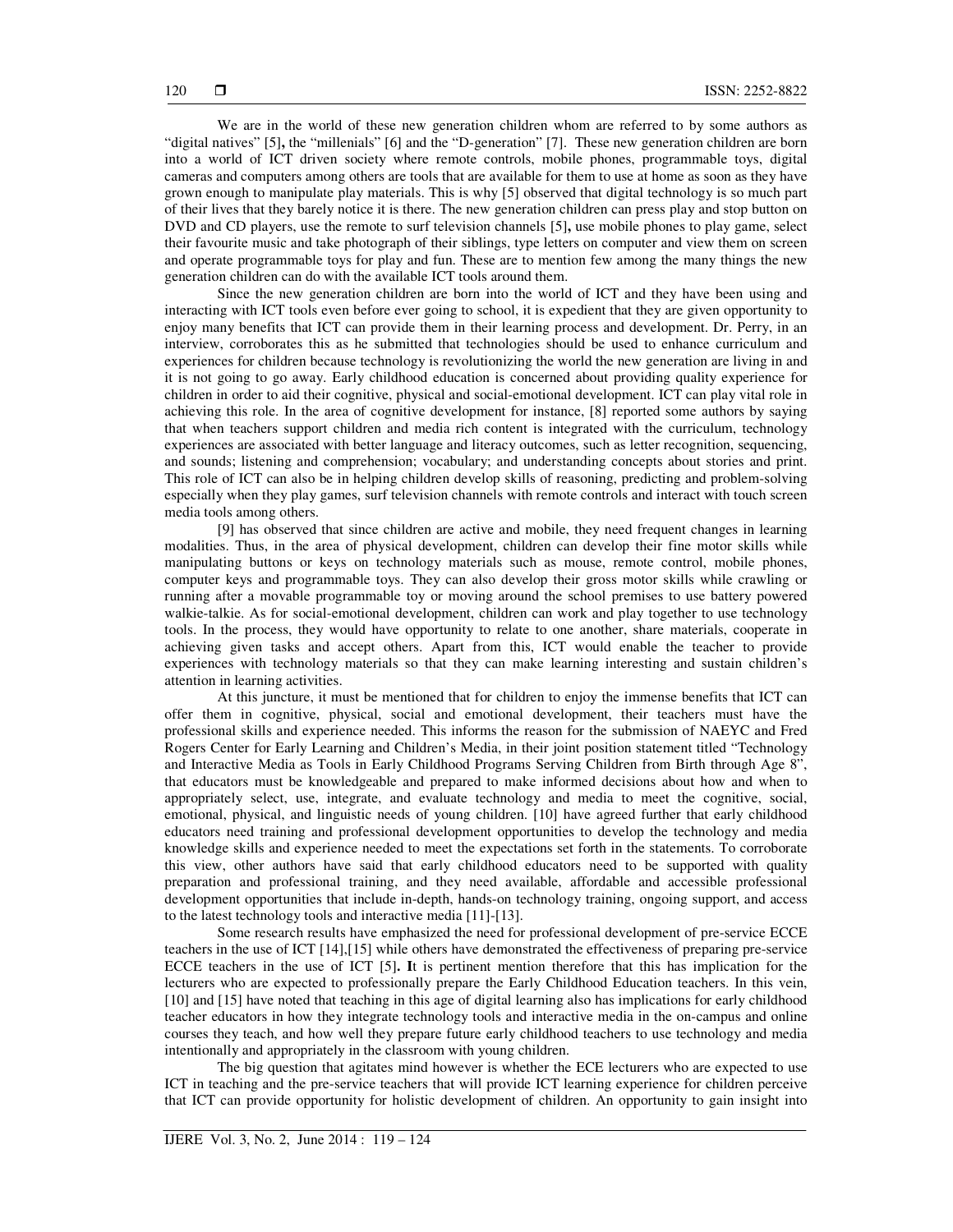We are in the world of these new generation children whom are referred to by some authors as "digital natives" [5]**,** the "millenials" [6] and the "D-generation" [7]. These new generation children are born into a world of ICT driven society where remote controls, mobile phones, programmable toys, digital cameras and computers among others are tools that are available for them to use at home as soon as they have grown enough to manipulate play materials. This is why [5] observed that digital technology is so much part of their lives that they barely notice it is there. The new generation children can press play and stop button on DVD and CD players, use the remote to surf television channels [5]**,** use mobile phones to play game, select their favourite music and take photograph of their siblings, type letters on computer and view them on screen and operate programmable toys for play and fun. These are to mention few among the many things the new generation children can do with the available ICT tools around them.

Since the new generation children are born into the world of ICT and they have been using and interacting with ICT tools even before ever going to school, it is expedient that they are given opportunity to enjoy many benefits that ICT can provide them in their learning process and development. Dr. Perry, in an interview, corroborates this as he submitted that technologies should be used to enhance curriculum and experiences for children because technology is revolutionizing the world the new generation are living in and it is not going to go away. Early childhood education is concerned about providing quality experience for children in order to aid their cognitive, physical and social-emotional development. ICT can play vital role in achieving this role. In the area of cognitive development for instance, [8] reported some authors by saying that when teachers support children and media rich content is integrated with the curriculum, technology experiences are associated with better language and literacy outcomes, such as letter recognition, sequencing, and sounds; listening and comprehension; vocabulary; and understanding concepts about stories and print. This role of ICT can also be in helping children develop skills of reasoning, predicting and problem-solving especially when they play games, surf television channels with remote controls and interact with touch screen media tools among others.

[9] has observed that since children are active and mobile, they need frequent changes in learning modalities. Thus, in the area of physical development, children can develop their fine motor skills while manipulating buttons or keys on technology materials such as mouse, remote control, mobile phones, computer keys and programmable toys. They can also develop their gross motor skills while crawling or running after a movable programmable toy or moving around the school premises to use battery powered walkie-talkie. As for social-emotional development, children can work and play together to use technology tools. In the process, they would have opportunity to relate to one another, share materials, cooperate in achieving given tasks and accept others. Apart from this, ICT would enable the teacher to provide experiences with technology materials so that they can make learning interesting and sustain children's attention in learning activities.

At this juncture, it must be mentioned that for children to enjoy the immense benefits that ICT can offer them in cognitive, physical, social and emotional development, their teachers must have the professional skills and experience needed. This informs the reason for the submission of NAEYC and Fred Rogers Center for Early Learning and Children's Media, in their joint position statement titled "Technology and Interactive Media as Tools in Early Childhood Programs Serving Children from Birth through Age 8", that educators must be knowledgeable and prepared to make informed decisions about how and when to appropriately select, use, integrate, and evaluate technology and media to meet the cognitive, social, emotional, physical, and linguistic needs of young children. [10] have agreed further that early childhood educators need training and professional development opportunities to develop the technology and media knowledge skills and experience needed to meet the expectations set forth in the statements. To corroborate this view, other authors have said that early childhood educators need to be supported with quality preparation and professional training, and they need available, affordable and accessible professional development opportunities that include in-depth, hands-on technology training, ongoing support, and access to the latest technology tools and interactive media [11]-[13].

Some research results have emphasized the need for professional development of pre-service ECCE teachers in the use of ICT [14],[15] while others have demonstrated the effectiveness of preparing pre-service ECCE teachers in the use of ICT [5]**. I**t is pertinent mention therefore that this has implication for the lecturers who are expected to professionally prepare the Early Childhood Education teachers. In this vein, [10] and [15] have noted that teaching in this age of digital learning also has implications for early childhood teacher educators in how they integrate technology tools and interactive media in the on-campus and online courses they teach, and how well they prepare future early childhood teachers to use technology and media intentionally and appropriately in the classroom with young children.

The big question that agitates mind however is whether the ECE lecturers who are expected to use ICT in teaching and the pre-service teachers that will provide ICT learning experience for children perceive that ICT can provide opportunity for holistic development of children. An opportunity to gain insight into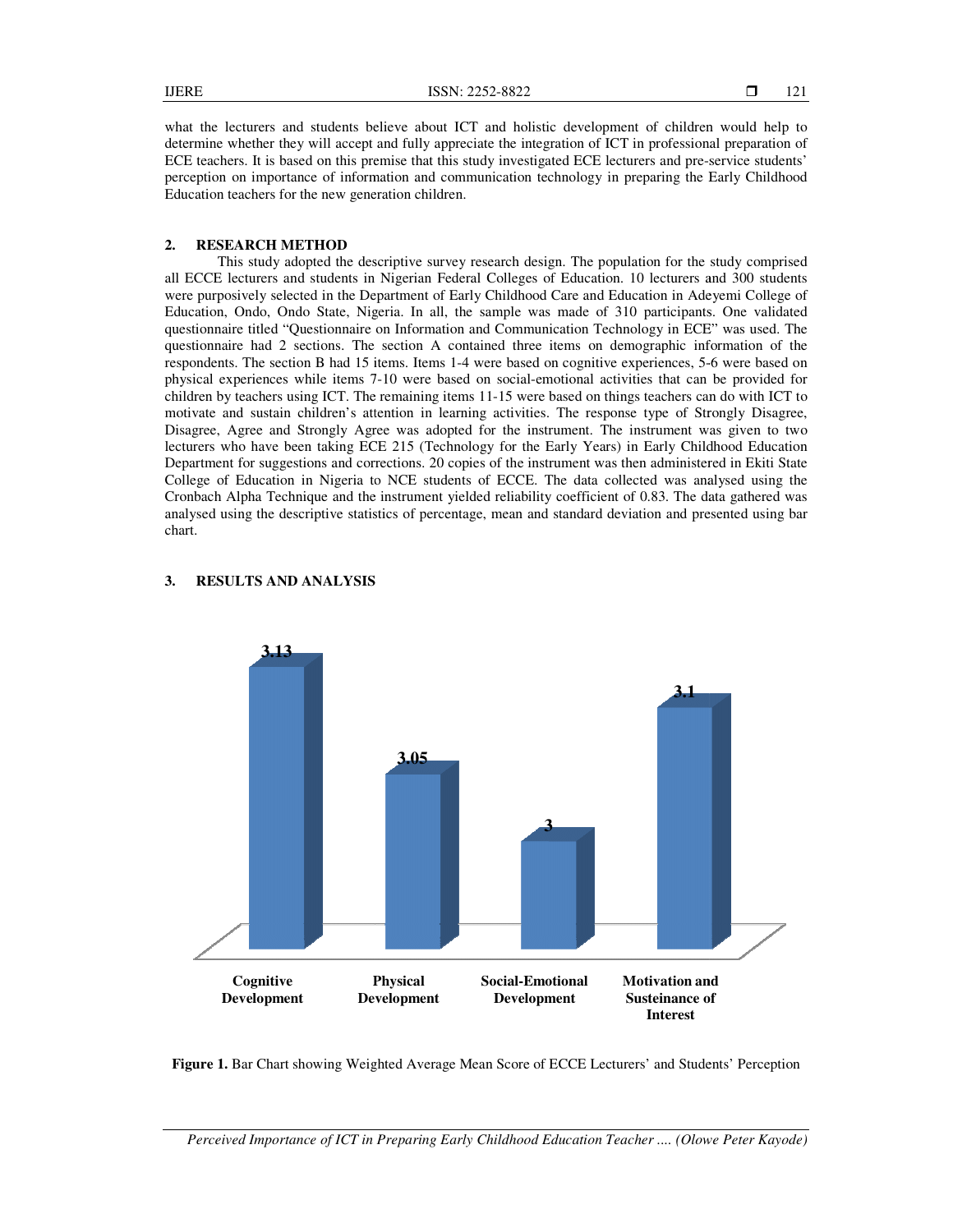what the lecturers and students believe about ICT and holistic development of children would help to determine whether they will accept and fully appreciate the integration of ICT in professional preparation of ECE teachers. It is based on this premise that this study investigated ECE lecturers and pre-service students' perception on importance of information and communication technology in preparing the Early Childhood Education teachers for the new generation children. In the description and communication technology in preparing the Early Childhood<br>
In teachers for the new generation children.<br>
SEARCH METHOD<br>
This study adopted the descriptive survey research design. The population for t

### **2. RESEARCH METHOD**

all ECCE lecturers and students in Nigerian Federal Colleges of Education. 10 lecturers and 300 students were purposively selected in the Department of Early Childhood Care and Education in Adeyemi College of Education, Ondo, Ondo State, Nigeria. In all, the sample was made of 310 participants. One validated questionnaire titled "Questionnaire on Information and Communication Technology in ECE" was used. The all ECCE lecturers and students in Nigerian Federal Colleges of Education. 10 lecturers and 300 students were purposively selected in the Department of Early Childhood Care and Education in Adeyemi College of Education, On respondents. The section B had 15 items. Items 1-4 were based on cognitive experiences, 5physical experiences while items 7-10 were based on social-emotional activities that can be provided for children by teachers using ICT. The remaining items 11-15 were based on things teachers can do with ICT to motivate and sustain children's attention in learning activities. The response type of Strongly Disagree, Disagree, Agree and Strongly Agree was adopted for the instrument. The instrument was given to two lecturers who have been taking ECE 215 (Technology for the Early Years) in Early Childhood Education lecturers who have been taking ECE 215 (Technology for the Early Years) in Early Childhood Edu<br>Department for suggestions and corrections. 20 copies of the instrument was then administered in Ekit College of Education in Nigeria to NCE students of ECCE. The data collected was analysed using the Cronbach Alpha Technique and the instrument yielded reliability coefficient of 0.83. The data gathered was Cronbach Alpha Technique and the instrument yielded reliability coefficient of 0.83. The data gathered was<br>analysed using the descriptive statistics of percentage, mean and standard deviation and presented using bar chart. the lecturers and students believe about ICT and holistic development of children would help to<br>nine whether they will accept and fully appreciate the integration of ICT in professional preparation of<br>tetachers. It is base iences while items 7-10 were based on social-emotional activities that can be provided for chers using ICT. The remaining items 11-15 were based on things teachers can do with ICT to sustain children's attention in learnin



#### **3.** RESULTS AND ANALYSIS

Perceived Importance of ICT in Preparing Early Childhood Education Teacher .... (Olowe Peter Kayode)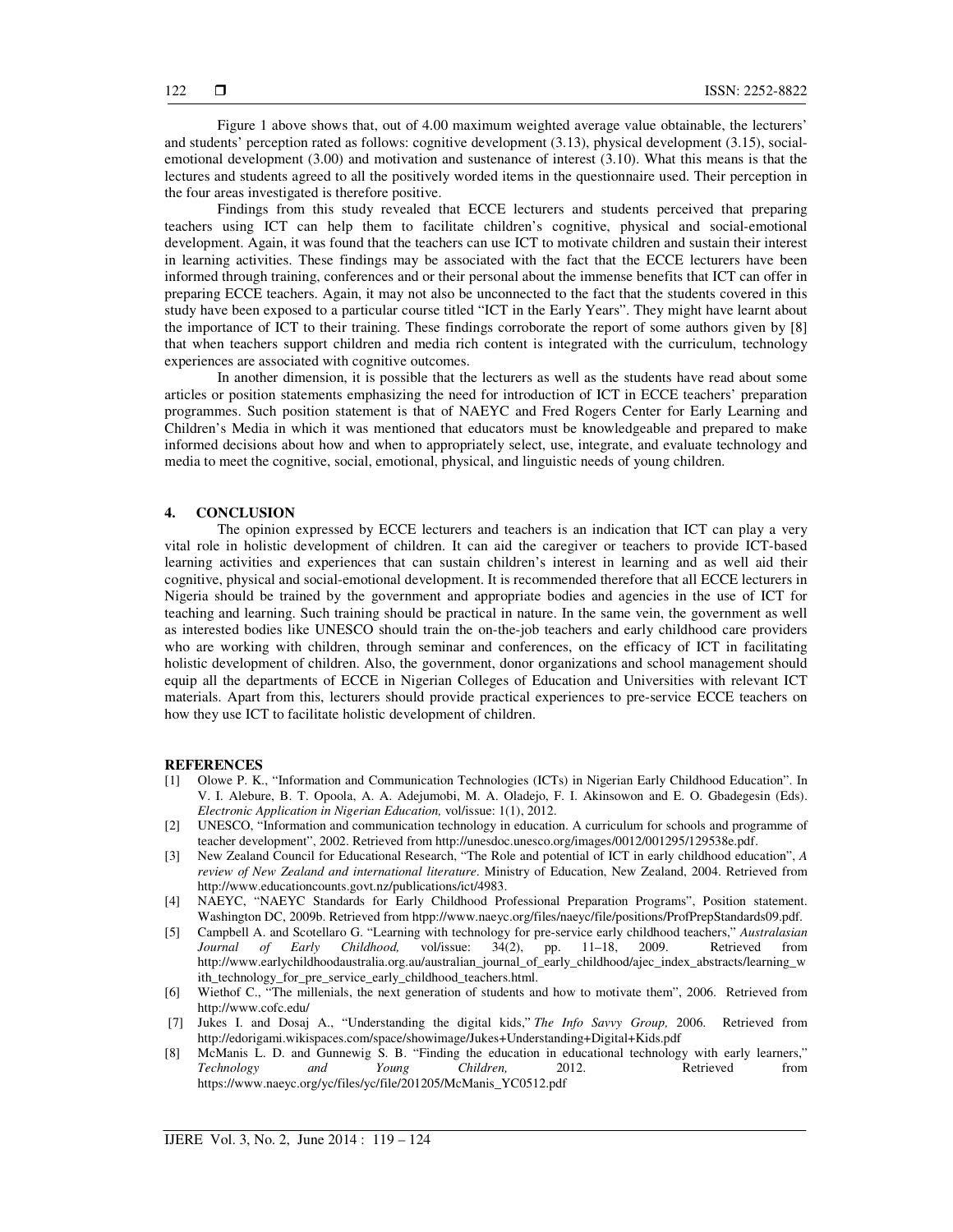Figure 1 above shows that, out of 4.00 maximum weighted average value obtainable, the lecturers' and students' perception rated as follows: cognitive development (3.13), physical development (3.15), socialemotional development (3.00) and motivation and sustenance of interest (3.10). What this means is that the lectures and students agreed to all the positively worded items in the questionnaire used. Their perception in the four areas investigated is therefore positive.

Findings from this study revealed that ECCE lecturers and students perceived that preparing teachers using ICT can help them to facilitate children's cognitive, physical and social-emotional development. Again, it was found that the teachers can use ICT to motivate children and sustain their interest in learning activities. These findings may be associated with the fact that the ECCE lecturers have been informed through training, conferences and or their personal about the immense benefits that ICT can offer in preparing ECCE teachers. Again, it may not also be unconnected to the fact that the students covered in this study have been exposed to a particular course titled "ICT in the Early Years". They might have learnt about the importance of ICT to their training. These findings corroborate the report of some authors given by [8] that when teachers support children and media rich content is integrated with the curriculum, technology experiences are associated with cognitive outcomes.

In another dimension, it is possible that the lecturers as well as the students have read about some articles or position statements emphasizing the need for introduction of ICT in ECCE teachers' preparation programmes. Such position statement is that of NAEYC and Fred Rogers Center for Early Learning and Children's Media in which it was mentioned that educators must be knowledgeable and prepared to make informed decisions about how and when to appropriately select, use, integrate, and evaluate technology and media to meet the cognitive, social, emotional, physical, and linguistic needs of young children.

#### **4. CONCLUSION**

The opinion expressed by ECCE lecturers and teachers is an indication that ICT can play a very vital role in holistic development of children. It can aid the caregiver or teachers to provide ICT-based learning activities and experiences that can sustain children's interest in learning and as well aid their cognitive, physical and social-emotional development. It is recommended therefore that all ECCE lecturers in Nigeria should be trained by the government and appropriate bodies and agencies in the use of ICT for teaching and learning. Such training should be practical in nature. In the same vein, the government as well as interested bodies like UNESCO should train the on-the-job teachers and early childhood care providers who are working with children, through seminar and conferences, on the efficacy of ICT in facilitating holistic development of children. Also, the government, donor organizations and school management should equip all the departments of ECCE in Nigerian Colleges of Education and Universities with relevant ICT materials. Apart from this, lecturers should provide practical experiences to pre-service ECCE teachers on how they use ICT to facilitate holistic development of children.

#### **REFERENCES**

- [1] Olowe P. K., "Information and Communication Technologies (ICTs) in Nigerian Early Childhood Education". In V. I. Alebure, B. T. Opoola, A. A. Adejumobi, M. A. Oladejo, F. I. Akinsowon and E. O. Gbadegesin (Eds). *Electronic Application in Nigerian Education,* vol/issue: 1(1), 2012.
- [2] UNESCO, "Information and communication technology in education. A curriculum for schools and programme of teacher development", 2002. Retrieved from http://unesdoc.unesco.org/images/0012/001295/129538e.pdf.
- [3] New Zealand Council for Educational Research, "The Role and potential of ICT in early childhood education", *A review of New Zealand and international literature*. Ministry of Education, New Zealand, 2004. Retrieved from http://www.educationcounts.govt.nz/publications/ict/4983.
- [4] NAEYC, "NAEYC Standards for Early Childhood Professional Preparation Programs", Position statement. Washington DC, 2009b. Retrieved from htpp://www.naeyc.org/files/naeyc/file/positions/ProfPrepStandards09.pdf.
- [5] Campbell A. and Scotellaro G. "Learning with technology for pre-service early childhood teachers," *Australasian Journal of Early Childhood,* vol/issue: 34(2), pp. 11–18, 2009. Retrieved from http://www.earlychildhoodaustralia.org.au/australian\_journal\_of\_early\_childhood/ajec\_index\_abstracts/learning\_w ith\_technology\_for\_pre\_service\_early\_childhood\_teachers.html.
- [6] Wiethof C., "The millenials, the next generation of students and how to motivate them", 2006. Retrieved from http://www.cofc.edu/
- [7] Jukes I. and Dosaj A., "Understanding the digital kids," *The Info Savvy Group,* 2006. Retrieved from http://edorigami.wikispaces.com/space/showimage/Jukes+Understanding+Digital+Kids.pdf
- [8] McManis L. D. and Gunnewig S. B. "Finding the education in educational technology with early learners," *Technology and Young Children,* 2012. Retrieved from https://www.naeyc.org/yc/files/yc/file/201205/McManis\_YC0512.pdf